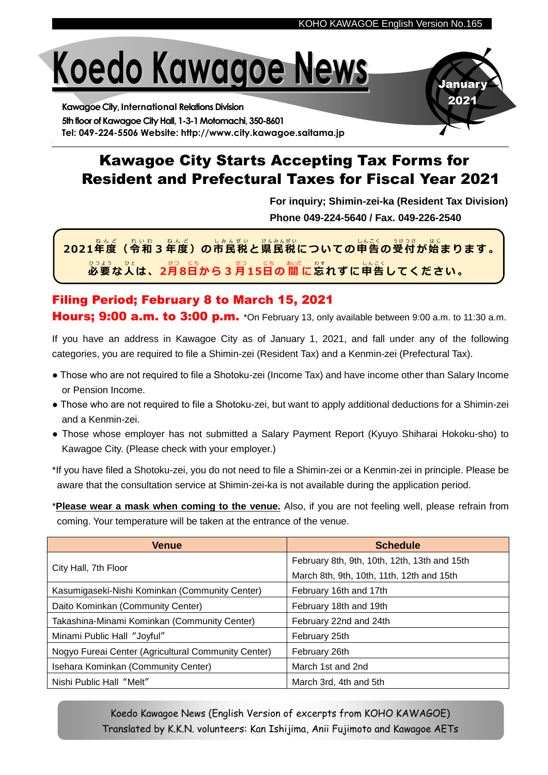January 2021

# **Koedo Kawagoe News**

**Kawagoe City, International Relations Division** 5th floor of Kawagoe City Hall, 1-3-1 Motomachi, 350-8601 **Tel: 049-224-5506 Website: http://www.city.kawagoe.saitama.jp**

# Kawagoe City Starts Accepting Tax Forms for Resident and Prefectural Taxes for Fiscal Year 2021

**For inquiry; Shimin-zei-ka (Resident Tax Division) Phone 049-224-5640 / Fax. 049-226-2540**

**2021年 度 ( 令 和 3 年 度 )の 市民税 と 県 民 税 についての 申 告 の 受 付 が始 ま り ま す 。** ねんど れいわ ねんど しみんぜい けんみんぜい しんこく うけつけ は じ <u>vっょう。</u>。と<br>必要な人は、2月8日から3月15日の 間 に忘れずに申告してください。

### Filing Period; February 8 to March 15, 2021 Hours; 9:00 a.m. to 3:00 p.m. \*On February 13, only available between 9:00 a.m. to 11:30 a.m.

If you have an address in Kawagoe City as of January 1, 2021, and fall under any of the following categories, you are required to file a Shimin-zei (Resident Tax) and a Kenmin-zei (Prefectural Tax).

- Those who are not required to file a Shotoku-zei (Income Tax) and have income other than Salary Income or Pension Income.
- Those who are not required to file a Shotoku-zei, but want to apply additional deductions for a Shimin-zei and a Kenmin-zei.
- Those whose employer has not submitted a Salary Payment Report (Kyuyo Shiharai Hokoku-sho) to Kawagoe City. (Please check with your employer.)

\*If you have filed a Shotoku-zei, you do not need to file a Shimin-zei or a Kenmin-zei in principle. Please be aware that the consultation service at Shimin-zei-ka is not available during the application period.

\***Please wear a mask when coming to the venue.** Also, if you are not feeling well, please refrain from coming. Your temperature will be taken at the entrance of the venue.

| <b>Venue</b>                                        | <b>Schedule</b>                              |
|-----------------------------------------------------|----------------------------------------------|
| City Hall, 7th Floor                                | February 8th, 9th, 10th, 12th, 13th and 15th |
|                                                     | March 8th, 9th, 10th, 11th, 12th and 15th    |
| Kasumigaseki-Nishi Kominkan (Community Center)      | February 16th and 17th                       |
| Daito Kominkan (Community Center)                   | February 18th and 19th                       |
| Takashina-Minami Kominkan (Community Center)        | February 22nd and 24th                       |
| Minami Public Hall "Joyful"                         | February 25th                                |
| Nogyo Fureai Center (Agricultural Community Center) | February 26th                                |
| Isehara Kominkan (Community Center)                 | March 1st and 2nd                            |
| Nishi Public Hall "Melt"                            | March 3rd, 4th and 5th                       |

Koedo Kawagoe News (English Version of excerpts from KOHO KAWAGOE) Translated by K.K.N. volunteers: Kan Ishijima, Anii Fujimoto and Kawagoe AETs